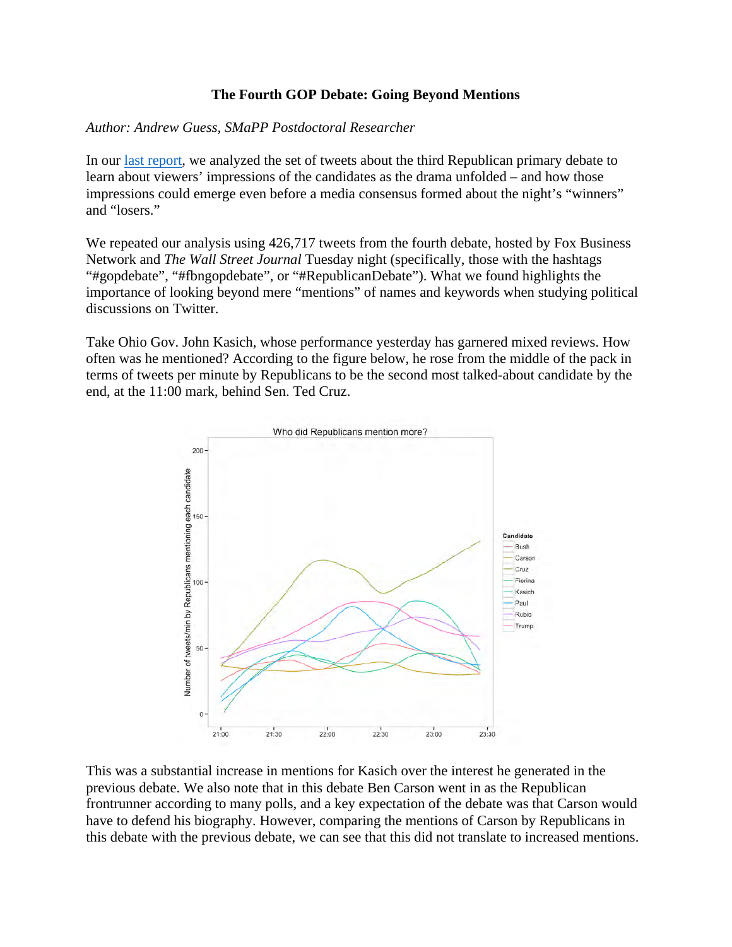## **The Fourth GOP Debate: Going Beyond Mentions**

## *Author: Andrew Guess, SMaPP Postdoctoral Researcher*

In our last report, we analyzed the set of tweets about the third Republican primary debate to learn about viewers' impressions of the candidates as the drama unfolded – and how those impressions could emerge even before a media consensus formed about the night's "winners" and "losers."

We repeated our analysis using 426,717 tweets from the fourth debate, hosted by Fox Business Network and *The Wall Street Journal* Tuesday night (specifically, those with the hashtags "#gopdebate", "#fbngopdebate", or "#RepublicanDebate"). What we found highlights the importance of looking beyond mere "mentions" of names and keywords when studying political discussions on Twitter.

Take Ohio Gov. John Kasich, whose performance yesterday has garnered mixed reviews. How often was he mentioned? According to the figure below, he rose from the middle of the pack in terms of tweets per minute by Republicans to be the second most talked-about candidate by the end, at the 11:00 mark, behind Sen. Ted Cruz.



This was a substantial increase in mentions for Kasich over the interest he generated in the previous debate. We also note that in this debate Ben Carson went in as the Republican frontrunner according to many polls, and a key expectation of the debate was that Carson would have to defend his biography. However, comparing the mentions of Carson by Republicans in this debate with the previous debate, we can see that this did not translate to increased mentions.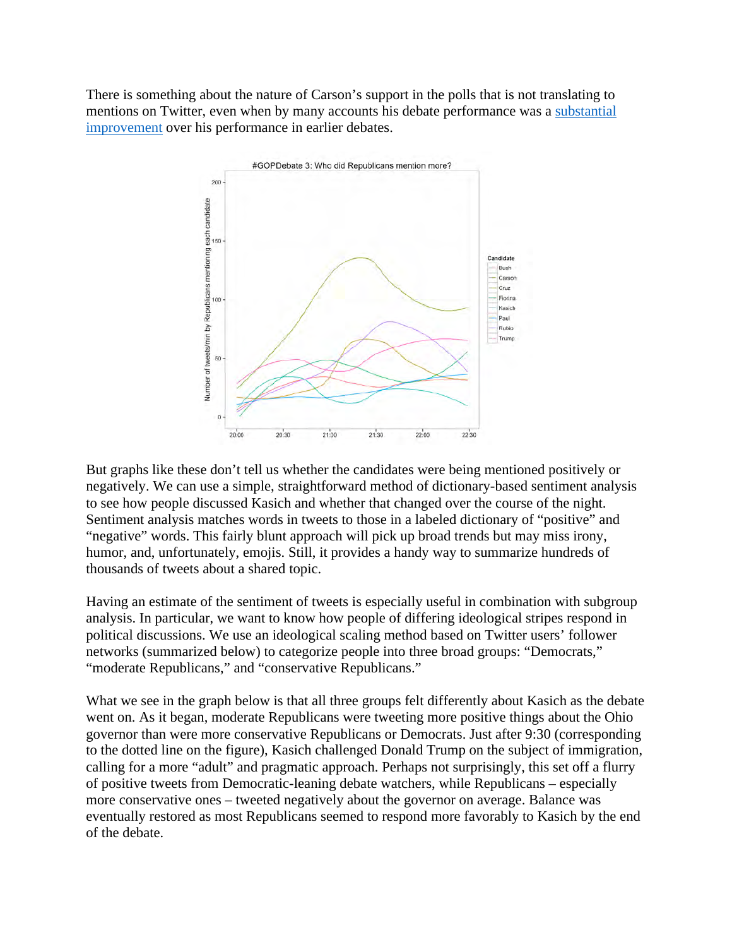There is something about the nature of Carson's support in the polls that is not translating to mentions on Twitter, even when by many accounts his debate performance was a substantial improvement over his performance in earlier debates.



But graphs like these don't tell us whether the candidates were being mentioned positively or negatively. We can use a simple, straightforward method of dictionary-based sentiment analysis to see how people discussed Kasich and whether that changed over the course of the night. Sentiment analysis matches words in tweets to those in a labeled dictionary of "positive" and "negative" words. This fairly blunt approach will pick up broad trends but may miss irony, humor, and, unfortunately, emojis. Still, it provides a handy way to summarize hundreds of thousands of tweets about a shared topic.

Having an estimate of the sentiment of tweets is especially useful in combination with subgroup analysis. In particular, we want to know how people of differing ideological stripes respond in political discussions. We use an ideological scaling method based on Twitter users' follower networks (summarized below) to categorize people into three broad groups: "Democrats," "moderate Republicans," and "conservative Republicans."

What we see in the graph below is that all three groups felt differently about Kasich as the debate went on. As it began, moderate Republicans were tweeting more positive things about the Ohio governor than were more conservative Republicans or Democrats. Just after 9:30 (corresponding to the dotted line on the figure), Kasich challenged Donald Trump on the subject of immigration, calling for a more "adult" and pragmatic approach. Perhaps not surprisingly, this set off a flurry of positive tweets from Democratic-leaning debate watchers, while Republicans – especially more conservative ones – tweeted negatively about the governor on average. Balance was eventually restored as most Republicans seemed to respond more favorably to Kasich by the end of the debate.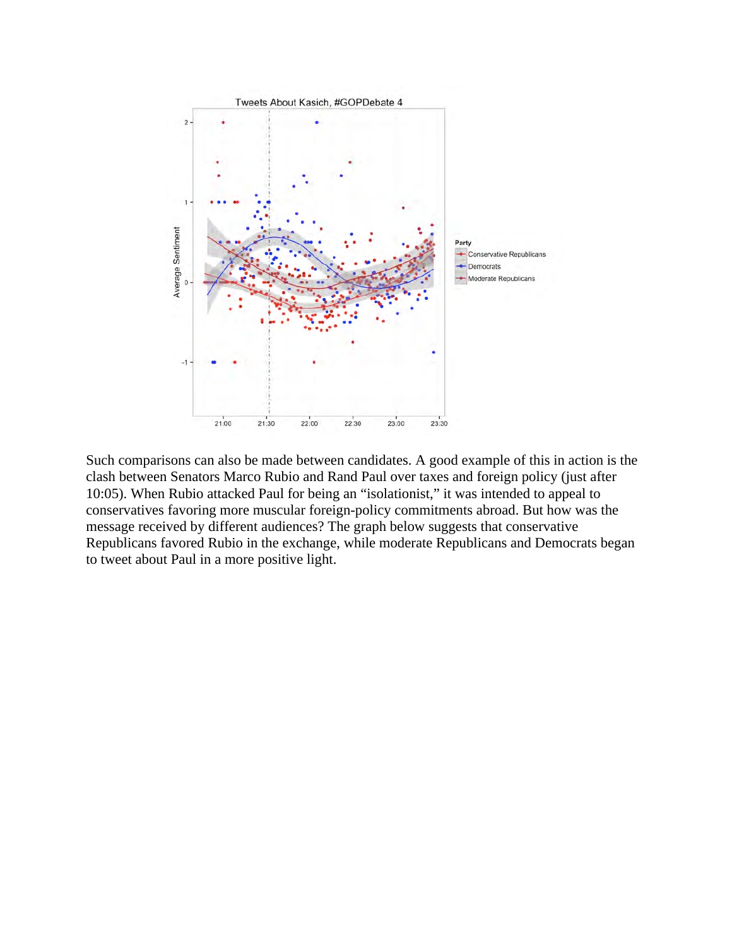

Such comparisons can also be made between candidates. A good example of this in action is the clash between Senators Marco Rubio and Rand Paul over taxes and foreign policy (just after 10:05). When Rubio attacked Paul for being an "isolationist," it was intended to appeal to conservatives favoring more muscular foreign-policy commitments abroad. But how was the message received by different audiences? The graph below suggests that conservative Republicans favored Rubio in the exchange, while moderate Republicans and Democrats began to tweet about Paul in a more positive light.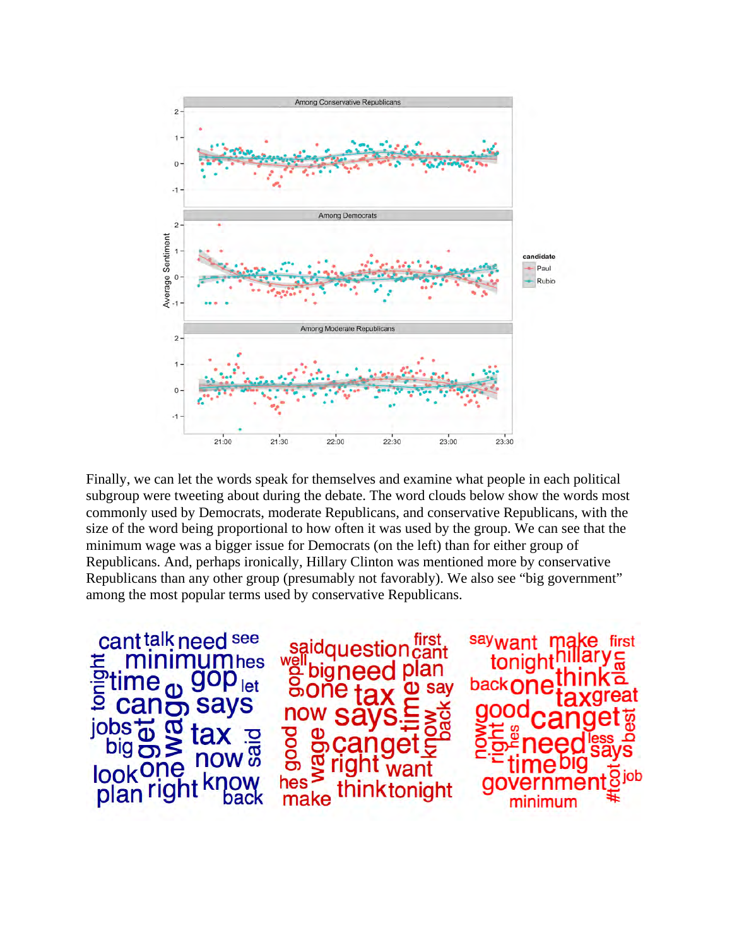

Finally, we can let the words speak for themselves and examine what people in each political subgroup were tweeting about during the debate. The word clouds below show the words most commonly used by Democrats, moderate Republicans, and conservative Republicans, with the size of the word being proportional to how often it was used by the group. We can see that the minimum wage was a bigger issue for Democrats (on the left) than for either group of Republicans. And, perhaps ironically, Hillary Clinton was mentioned more by conservative Republicans than any other group (presumably not favorably). We also see "big government" among the most popular terms used by conservative Republicans.

cant talk need see **minimum**hes  $\frac{1}{2}$ time <sub>o</sub> gop<sub>let</sub> jobs <del>7</del> big on ≶ look One <u>now ဖိ</u>

n good he iaht CtO make

first bac minimum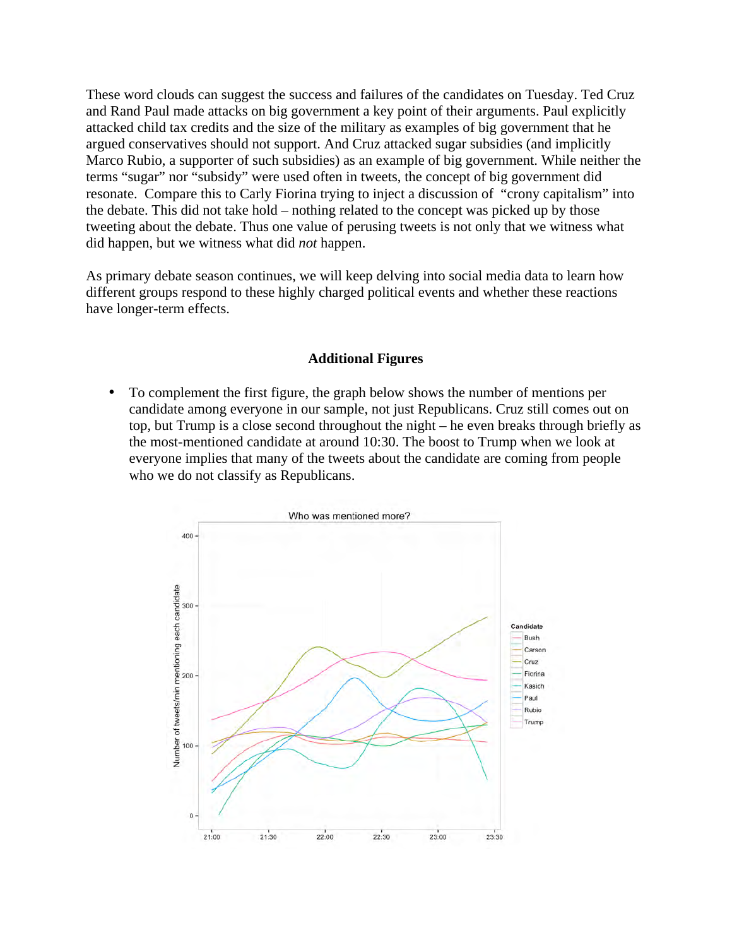These word clouds can suggest the success and failures of the candidates on Tuesday. Ted Cruz and Rand Paul made attacks on big government a key point of their arguments. Paul explicitly attacked child tax credits and the size of the military as examples of big government that he argued conservatives should not support. And Cruz attacked sugar subsidies (and implicitly Marco Rubio, a supporter of such subsidies) as an example of big government. While neither the terms "sugar" nor "subsidy" were used often in tweets, the concept of big government did resonate. Compare this to Carly Fiorina trying to inject a discussion of "crony capitalism" into the debate. This did not take hold – nothing related to the concept was picked up by those tweeting about the debate. Thus one value of perusing tweets is not only that we witness what did happen, but we witness what did *not* happen.

As primary debate season continues, we will keep delving into social media data to learn how different groups respond to these highly charged political events and whether these reactions have longer-term effects.

## **Additional Figures**

• To complement the first figure, the graph below shows the number of mentions per candidate among everyone in our sample, not just Republicans. Cruz still comes out on top, but Trump is a close second throughout the night – he even breaks through briefly as the most-mentioned candidate at around 10:30. The boost to Trump when we look at everyone implies that many of the tweets about the candidate are coming from people who we do not classify as Republicans.